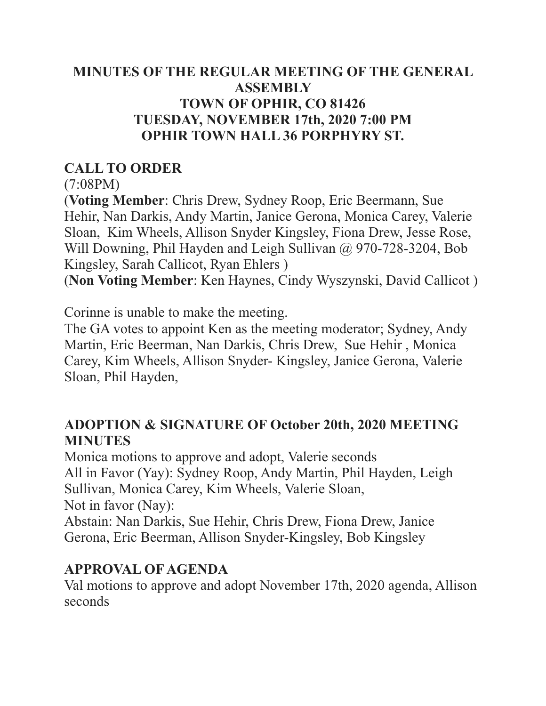#### **MINUTES OF THE REGULAR MEETING OF THE GENERAL ASSEMBLY TOWN OF OPHIR, CO 81426 TUESDAY, NOVEMBER 17th, 2020 7:00 PM OPHIR TOWN HALL 36 PORPHYRY ST.**

### **CALL TO ORDER**

(7:08PM)

(**Voting Member**: Chris Drew, Sydney Roop, Eric Beermann, Sue Hehir, Nan Darkis, Andy Martin, Janice Gerona, Monica Carey, Valerie Sloan, Kim Wheels, Allison Snyder Kingsley, Fiona Drew, Jesse Rose, Will Downing, Phil Hayden and Leigh Sullivan @ 970-728-3204, Bob Kingsley, Sarah Callicot, Ryan Ehlers )

(**Non Voting Member**: Ken Haynes, Cindy Wyszynski, David Callicot )

Corinne is unable to make the meeting.

The GA votes to appoint Ken as the meeting moderator; Sydney, Andy Martin, Eric Beerman, Nan Darkis, Chris Drew, Sue Hehir , Monica Carey, Kim Wheels, Allison Snyder- Kingsley, Janice Gerona, Valerie Sloan, Phil Hayden,

#### **ADOPTION & SIGNATURE OF October 20th, 2020 MEETING MINUTES**

Monica motions to approve and adopt, Valerie seconds All in Favor (Yay): Sydney Roop, Andy Martin, Phil Hayden, Leigh Sullivan, Monica Carey, Kim Wheels, Valerie Sloan, Not in favor (Nay): Abstain: Nan Darkis, Sue Hehir, Chris Drew, Fiona Drew, Janice

Gerona, Eric Beerman, Allison Snyder-Kingsley, Bob Kingsley

# **APPROVAL OF AGENDA**

Val motions to approve and adopt November 17th, 2020 agenda, Allison seconds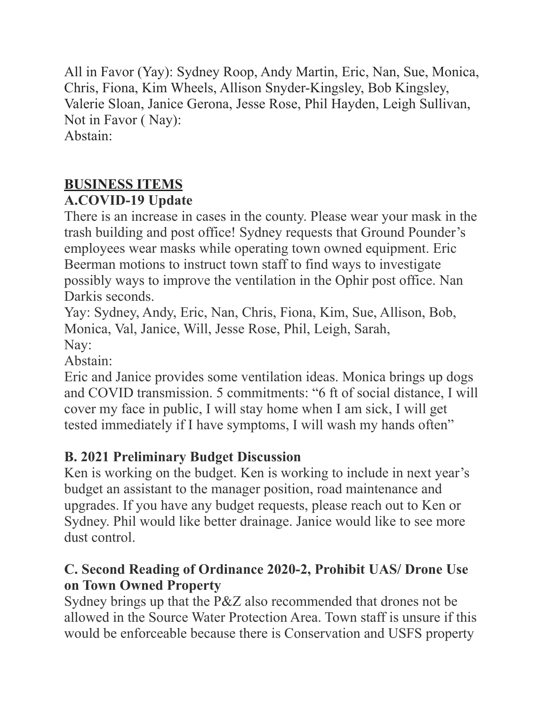All in Favor (Yay): Sydney Roop, Andy Martin, Eric, Nan, Sue, Monica, Chris, Fiona, Kim Wheels, Allison Snyder-Kingsley, Bob Kingsley, Valerie Sloan, Janice Gerona, Jesse Rose, Phil Hayden, Leigh Sullivan, Not in Favor ( Nay): Abstain:

# **BUSINESS ITEMS**

# **A.COVID-19 Update**

There is an increase in cases in the county. Please wear your mask in the trash building and post office! Sydney requests that Ground Pounder's employees wear masks while operating town owned equipment. Eric Beerman motions to instruct town staff to find ways to investigate possibly ways to improve the ventilation in the Ophir post office. Nan Darkis seconds

Yay: Sydney, Andy, Eric, Nan, Chris, Fiona, Kim, Sue, Allison, Bob, Monica, Val, Janice, Will, Jesse Rose, Phil, Leigh, Sarah, Nay:

Abstain:

Eric and Janice provides some ventilation ideas. Monica brings up dogs and COVID transmission. 5 commitments: "6 ft of social distance, I will cover my face in public, I will stay home when I am sick, I will get tested immediately if I have symptoms, I will wash my hands often"

# **B. 2021 Preliminary Budget Discussion**

Ken is working on the budget. Ken is working to include in next year's budget an assistant to the manager position, road maintenance and upgrades. If you have any budget requests, please reach out to Ken or Sydney. Phil would like better drainage. Janice would like to see more dust control.

# **C. Second Reading of Ordinance 2020-2, Prohibit UAS/ Drone Use on Town Owned Property**

Sydney brings up that the P&Z also recommended that drones not be allowed in the Source Water Protection Area. Town staff is unsure if this would be enforceable because there is Conservation and USFS property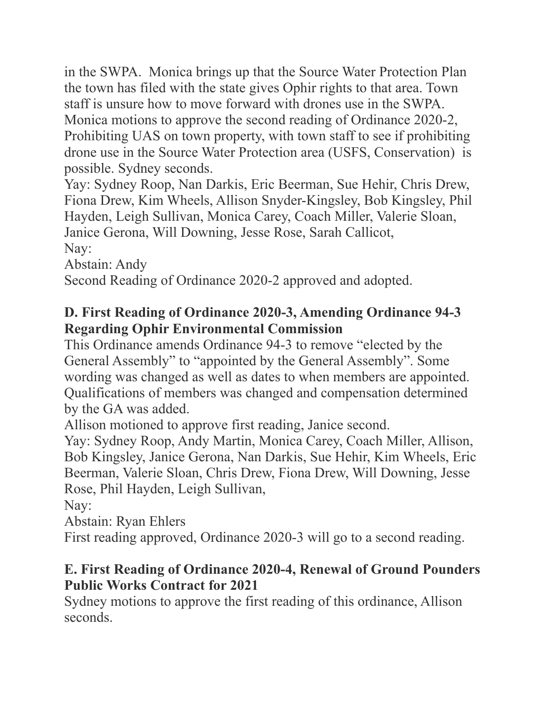in the SWPA. Monica brings up that the Source Water Protection Plan the town has filed with the state gives Ophir rights to that area. Town staff is unsure how to move forward with drones use in the SWPA. Monica motions to approve the second reading of Ordinance 2020-2, Prohibiting UAS on town property, with town staff to see if prohibiting drone use in the Source Water Protection area (USFS, Conservation) is possible. Sydney seconds.

Yay: Sydney Roop, Nan Darkis, Eric Beerman, Sue Hehir, Chris Drew, Fiona Drew, Kim Wheels, Allison Snyder-Kingsley, Bob Kingsley, Phil Hayden, Leigh Sullivan, Monica Carey, Coach Miller, Valerie Sloan, Janice Gerona, Will Downing, Jesse Rose, Sarah Callicot, Nay:

Abstain: Andy

Second Reading of Ordinance 2020-2 approved and adopted.

#### **D. First Reading of Ordinance 2020-3, Amending Ordinance 94-3 Regarding Ophir Environmental Commission**

This Ordinance amends Ordinance 94-3 to remove "elected by the General Assembly" to "appointed by the General Assembly". Some wording was changed as well as dates to when members are appointed. Qualifications of members was changed and compensation determined by the GA was added.

Allison motioned to approve first reading, Janice second.

Yay: Sydney Roop, Andy Martin, Monica Carey, Coach Miller, Allison, Bob Kingsley, Janice Gerona, Nan Darkis, Sue Hehir, Kim Wheels, Eric Beerman, Valerie Sloan, Chris Drew, Fiona Drew, Will Downing, Jesse Rose, Phil Hayden, Leigh Sullivan,

Nay:

Abstain: Ryan Ehlers

First reading approved, Ordinance 2020-3 will go to a second reading.

#### **E. First Reading of Ordinance 2020-4, Renewal of Ground Pounders Public Works Contract for 2021**

Sydney motions to approve the first reading of this ordinance, Allison seconds.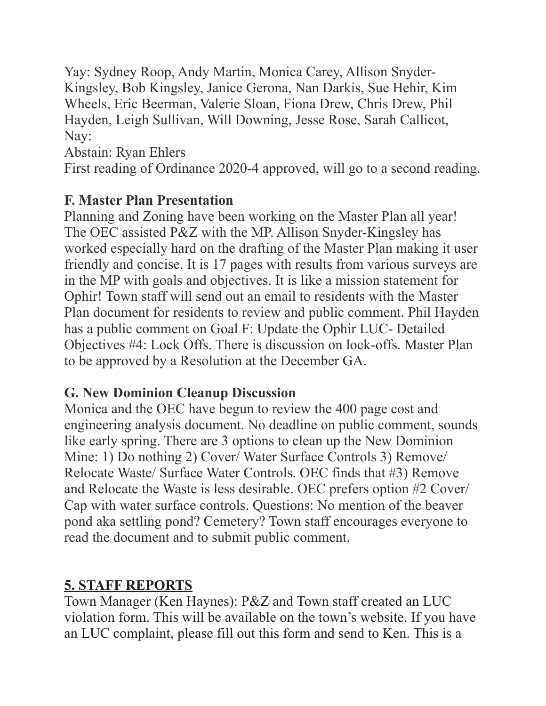Yay: Sydney Roop, Andy Martin, Monica Carey, Allison Snyder-Kingsley, Bob Kingsley, Janice Gerona, Nan Darkis, Sue Hehir, Kim Wheels, Eric Beerman, Valerie Sloan, Fiona Drew, Chris Drew, Phil Hayden, Leigh Sullivan, Will Downing, Jesse Rose, Sarah Callicot, Nay:

Abstain: Ryan Ehlers

First reading of Ordinance 2020-4 approved, will go to a second reading.

# **F. Master Plan Presentation**

Planning and Zoning have been working on the Master Plan all year! The OEC assisted P&Z with the MP. Allison Snyder-Kingsley has worked especially hard on the drafting of the Master Plan making it user friendly and concise. It is 17 pages with results from various surveys are in the MP with goals and objectives. It is like a mission statement for Ophir! Town staff will send out an email to residents with the Master Plan document for residents to review and public comment. Phil Hayden has a public comment on Goal F: Update the Ophir LUC- Detailed Objectives #4: Lock Offs. There is discussion on lock-offs. Master Plan to be approved by a Resolution at the December GA.

# **G. New Dominion Cleanup Discussion**

Monica and the OEC have begun to review the 400 page cost and engineering analysis document. No deadline on public comment, sounds like early spring. There are 3 options to clean up the New Dominion Mine: 1) Do nothing 2) Cover/ Water Surface Controls 3) Remove/ Relocate Waste/ Surface Water Controls. OEC finds that #3) Remove and Relocate the Waste is less desirable. OEC prefers option #2 Cover/ Cap with water surface controls. Questions: No mention of the beaver pond aka settling pond? Cemetery? Town staff encourages everyone to read the document and to submit public comment.

# **5. STAFF REPORTS**

Town Manager (Ken Haynes): P&Z and Town staff created an LUC violation form. This will be available on the town's website. If you have an LUC complaint, please fill out this form and send to Ken. This is a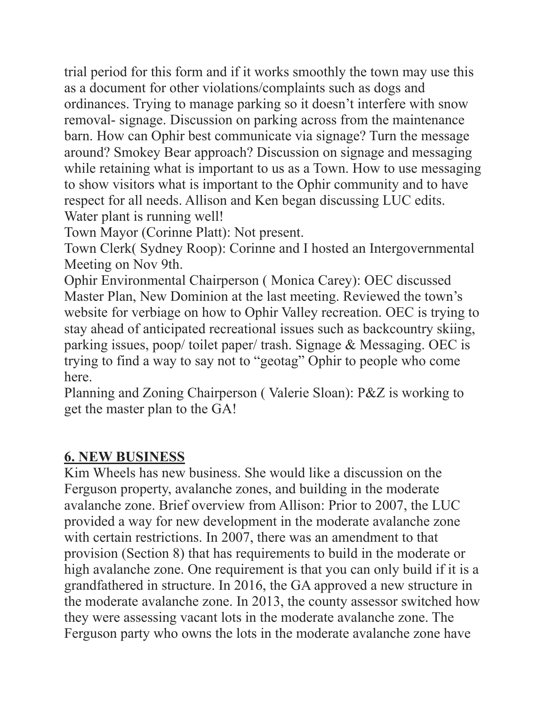trial period for this form and if it works smoothly the town may use this as a document for other violations/complaints such as dogs and ordinances. Trying to manage parking so it doesn't interfere with snow removal- signage. Discussion on parking across from the maintenance barn. How can Ophir best communicate via signage? Turn the message around? Smokey Bear approach? Discussion on signage and messaging while retaining what is important to us as a Town. How to use messaging to show visitors what is important to the Ophir community and to have respect for all needs. Allison and Ken began discussing LUC edits. Water plant is running well!

Town Mayor (Corinne Platt): Not present.

Town Clerk( Sydney Roop): Corinne and I hosted an Intergovernmental Meeting on Nov 9th.

Ophir Environmental Chairperson ( Monica Carey): OEC discussed Master Plan, New Dominion at the last meeting. Reviewed the town's website for verbiage on how to Ophir Valley recreation. OEC is trying to stay ahead of anticipated recreational issues such as backcountry skiing, parking issues, poop/ toilet paper/ trash. Signage & Messaging. OEC is trying to find a way to say not to "geotag" Ophir to people who come here.

Planning and Zoning Chairperson ( Valerie Sloan): P&Z is working to get the master plan to the GA!

#### **6. NEW BUSINESS**

Kim Wheels has new business. She would like a discussion on the Ferguson property, avalanche zones, and building in the moderate avalanche zone. Brief overview from Allison: Prior to 2007, the LUC provided a way for new development in the moderate avalanche zone with certain restrictions. In 2007, there was an amendment to that provision (Section 8) that has requirements to build in the moderate or high avalanche zone. One requirement is that you can only build if it is a grandfathered in structure. In 2016, the GA approved a new structure in the moderate avalanche zone. In 2013, the county assessor switched how they were assessing vacant lots in the moderate avalanche zone. The Ferguson party who owns the lots in the moderate avalanche zone have